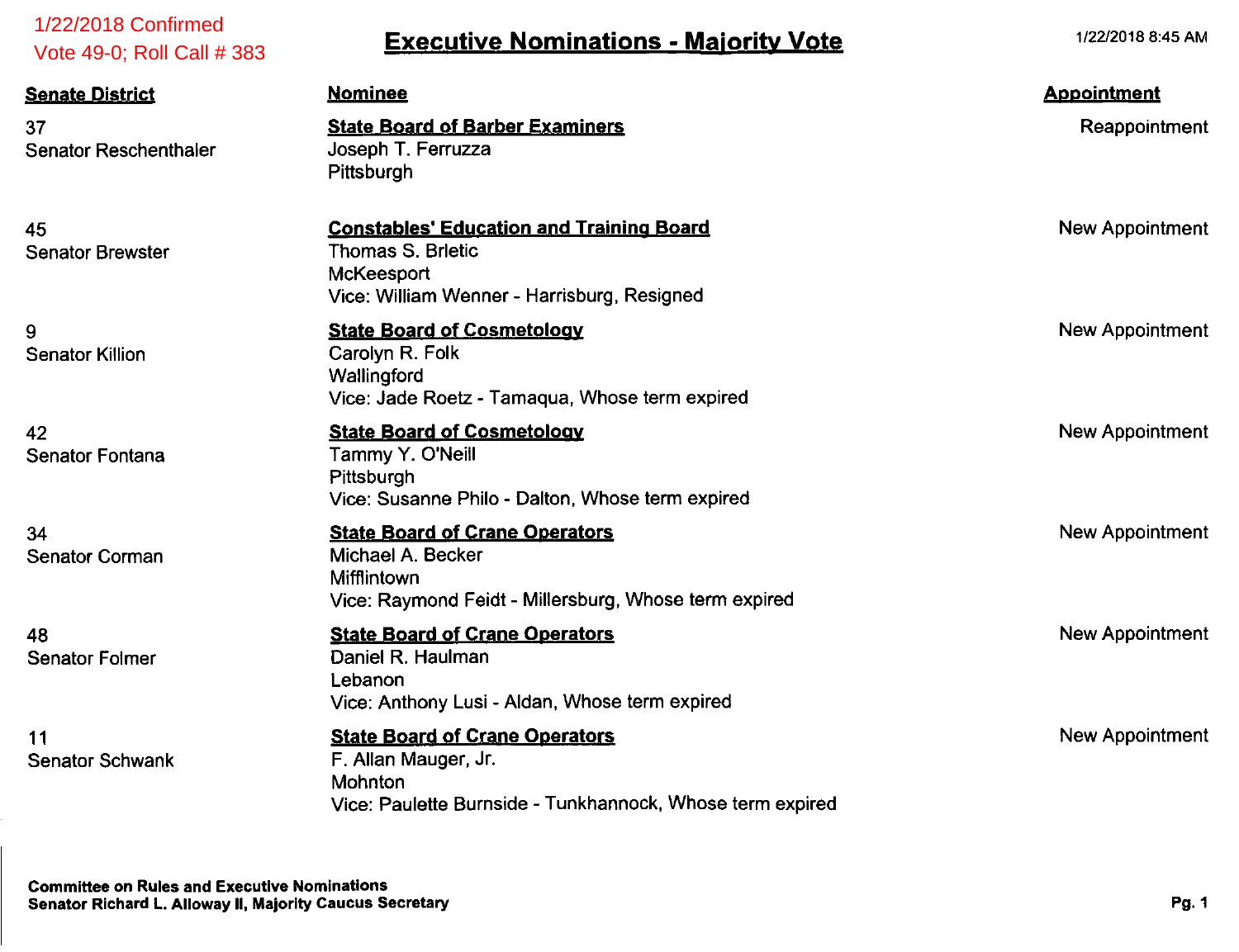| 1/22/2018 Confirmed<br>Vote 49-0; Roll Call # 383                                                               | <b>Executive Nominations - Majority Vote</b>                                                                                             | 1/22/2018 8:45 AM                   |
|-----------------------------------------------------------------------------------------------------------------|------------------------------------------------------------------------------------------------------------------------------------------|-------------------------------------|
| <b>Senate District</b><br>37<br><b>Senator Reschenthaler</b>                                                    | <b>Nominee</b><br><b>State Board of Barber Examiners</b><br>Joseph T. Ferruzza<br>Pittsburgh                                             | <b>Appointment</b><br>Reappointment |
| 45<br><b>Senator Brewster</b>                                                                                   | <b>Constables' Education and Training Board</b><br><b>Thomas S. Brietic</b><br>McKeesport<br>Vice: William Wenner - Harrisburg, Resigned | New Appointment                     |
| 9<br><b>Senator Killion</b>                                                                                     | <b>State Board of Cosmetology</b><br>Carolyn R. Folk<br>Wallingford<br>Vice: Jade Roetz - Tamaqua, Whose term expired                    | New Appointment                     |
| 42<br>Senator Fontana                                                                                           | <b>State Board of Cosmetology</b><br>Tammy Y. O'Neill<br>Pittsburgh<br>Vice: Susanne Philo - Dalton, Whose term expired                  | New Appointment                     |
| 34<br><b>Senator Corman</b>                                                                                     | <b>State Board of Crane Operators</b><br>Michael A. Becker<br>Mifflintown<br>Vice: Raymond Feidt - Millersburg, Whose term expired       | <b>New Appointment</b>              |
| 48<br><b>Senator Folmer</b>                                                                                     | <b>State Board of Crane Operators</b><br>Daniel R. Haulman<br>Lebanon<br>Vice: Anthony Lusi - Aldan, Whose term expired                  | New Appointment                     |
| 11<br><b>Senator Schwank</b>                                                                                    | <b>State Board of Crane Operators</b><br>F. Allan Mauger, Jr.<br>Mohnton<br>Vice: Paulette Burnside - Tunkhannock, Whose term expired    | New Appointment                     |
| <b>Committee on Rules and Executive Nominations</b><br>Senator Richard L. Alloway II, Majority Caucus Secretary |                                                                                                                                          | Pg. 1                               |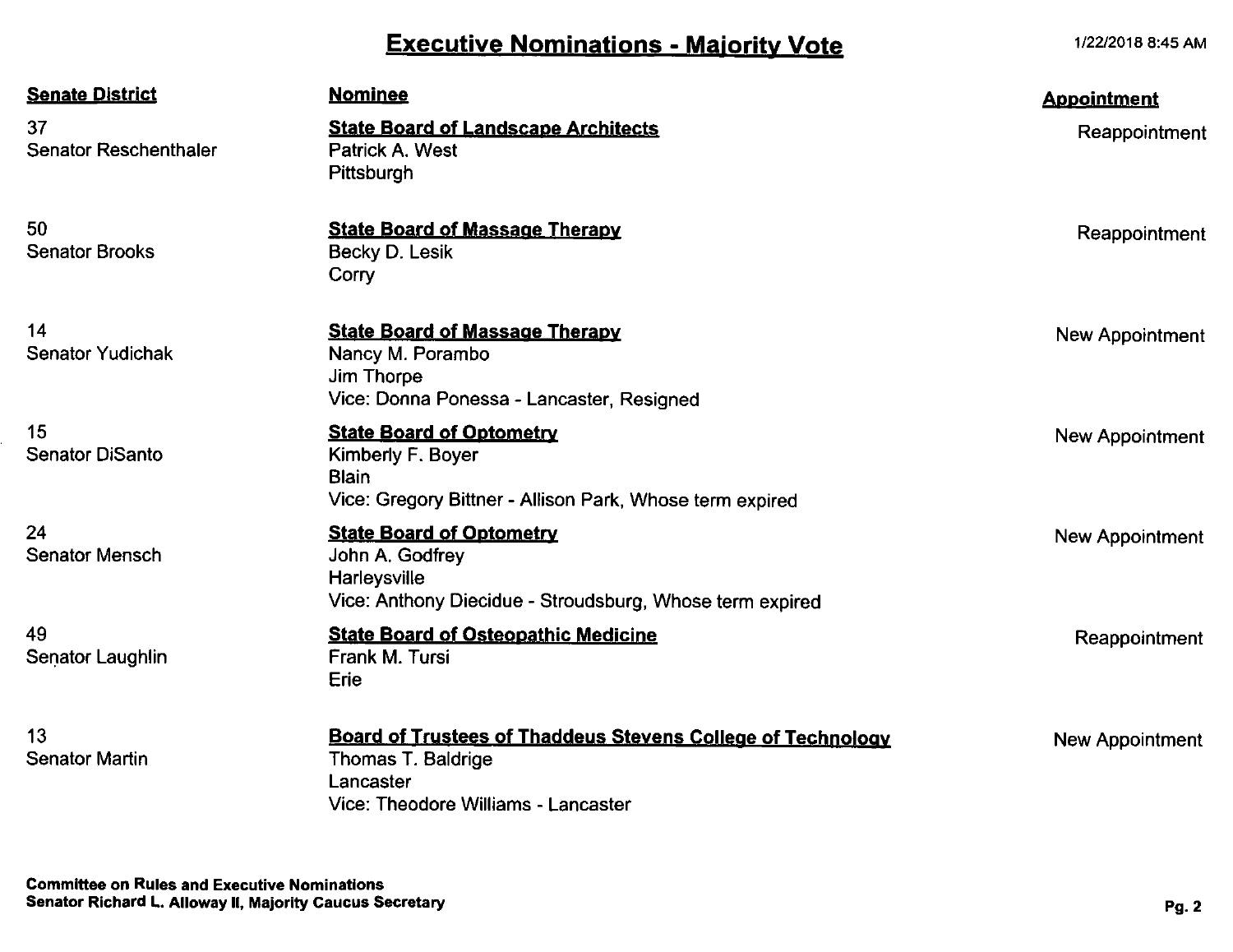# *Executive Nominations - Majority Vote*

*1/22/2018 8:45 AM*

| <b>Senate District</b>             | <b>Nominee</b>                                                                                                                               | <b>Appointment</b>     |
|------------------------------------|----------------------------------------------------------------------------------------------------------------------------------------------|------------------------|
| 37<br><b>Senator Reschenthaler</b> | <b>State Board of Landscape Architects</b><br>Patrick A. West<br>Pittsburgh                                                                  | Reappointment          |
| 50<br><b>Senator Brooks</b>        | <b>State Board of Massage Therapy</b><br>Becky D. Lesik<br>Corry                                                                             | Reappointment          |
| 14<br><b>Senator Yudichak</b>      | <b>State Board of Massage Therapy</b><br>Nancy M. Porambo<br>Jim Thorpe<br>Vice: Donna Ponessa - Lancaster, Resigned                         | New Appointment        |
| 15<br><b>Senator DiSanto</b>       | <b>State Board of Optometry</b><br>Kimberly F. Boyer<br><b>Blain</b><br>Vice: Gregory Bittner - Allison Park, Whose term expired             | <b>New Appointment</b> |
| 24<br><b>Senator Mensch</b>        | <b>State Board of Optometry</b><br>John A. Godfrey<br>Harleysville<br>Vice: Anthony Diecidue - Stroudsburg, Whose term expired               | New Appointment        |
| 49<br><b>Senator Laughlin</b>      | <b>State Board of Osteopathic Medicine</b><br>Frank M. Tursi<br>Erie                                                                         | Reappointment          |
| 13<br><b>Senator Martin</b>        | <b>Board of Trustees of Thaddeus Stevens College of Technology</b><br>Thomas T. Baldrige<br>Lancaster<br>Vice: Theodore Williams - Lancaster | <b>New Appointment</b> |